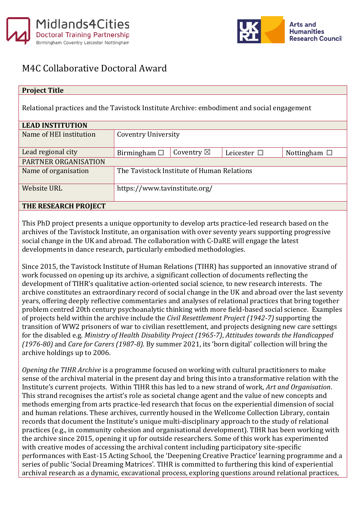



## M4C Collaborative Doctoral Award

## **Project Title**

Relational practices and the Tavistock Institute Archive: embodiment and social engagement

| <b>LEAD INSTITUTION</b> |                                            |                      |                  |                   |  |
|-------------------------|--------------------------------------------|----------------------|------------------|-------------------|--|
| Name of HEI institution | <b>Coventry University</b>                 |                      |                  |                   |  |
|                         |                                            |                      |                  |                   |  |
| Lead regional city      | Birmingham $\Box$                          | Coventry $\boxtimes$ | Leicester $\Box$ | Nottingham $\Box$ |  |
| PARTNER ORGANISATION    |                                            |                      |                  |                   |  |
| Name of organisation    | The Tavistock Institute of Human Relations |                      |                  |                   |  |
| <b>Website URL</b>      | https://www.tavinstitute.org/              |                      |                  |                   |  |
| THE RESEARCH PROJECT    |                                            |                      |                  |                   |  |

This PhD project presents a unique opportunity to develop arts practice-led research based on the archives of the Tavistock Institute, an organisation with over seventy years supporting progressive social change in the UK and abroad. The collaboration with C-DaRE will engage the latest developments in dance research, particularly embodied methodologies.

Since 2015, the Tavistock Institute of Human Relations (TIHR) has supported an innovative strand of work focussed on opening up its archive, a significant collection of documents reflecting the development of TIHR's qualitative action-oriented social science, to new research interests. The archive constitutes an extraordinary record of social change in the UK and abroad over the last seventy years, offering deeply reflective commentaries and analyses of relational practices that bring together problem centred 20th century psychoanalytic thinking with more field-based social science. Examples of projects held within the archive include the *Civil Resettlement Project (1942-7)* supporting the transition of WW2 prisoners of war to civilian resettlement, and projects designing new care settings for the disabled e.g. *Ministry of Health Disability Project (1965-7)*, *Attitudes towards the Handicapped (1976-80)* and *Care for Carers (1987-8)*. By summer 2021, its 'born digital' collection will bring the archive holdings up to 2006.

*Opening the TIHR Archive* is a programme focused on working with cultural practitioners to make sense of the archival material in the present day and bring this into a transformative relation with the Institute's current projects. Within TIHR this has led to a new strand of work, *Art and Organisation*. This strand recognises the artist's role as societal change agent and the value of new concepts and methods emerging from arts practice-led research that focus on the experiential dimension of social and human relations. These archives, currently housed in the Wellcome Collection Library, contain records that document the Institute's unique multi-disciplinary approach to the study of relational practices (e.g., in community cohesion and organisational development). TIHR has been working with the archive since 2015, opening it up for outside researchers. Some of this work has experimented with creative modes of accessing the archival content including participatory site-specific performances with East-15 Acting School, the 'Deepening Creative Practice' learning programme and a series of public 'Social Dreaming Matrices'. TIHR is committed to furthering this kind of experiential archival research as a dynamic, excavational process, exploring questions around relational practices,